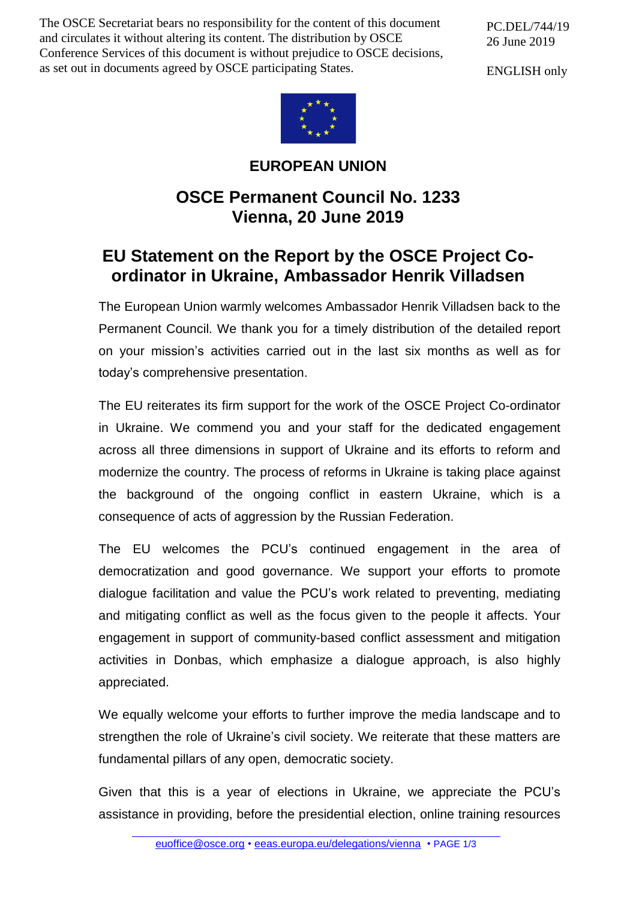The OSCE Secretariat bears no responsibility for the content of this document and circulates it without altering its content. The distribution by OSCE Conference Services of this document is without prejudice to OSCE decisions, as set out in documents agreed by OSCE participating States.

PC.DEL/744/19 26 June 2019

ENGLISH only



## **EUROPEAN UNION**

## **OSCE Permanent Council No. 1233 Vienna, 20 June 2019**

## **EU Statement on the Report by the OSCE Project Coordinator in Ukraine, Ambassador Henrik Villadsen**

The European Union warmly welcomes Ambassador Henrik Villadsen back to the Permanent Council. We thank you for a timely distribution of the detailed report on your mission's activities carried out in the last six months as well as for today's comprehensive presentation.

The EU reiterates its firm support for the work of the OSCE Project Co-ordinator in Ukraine. We commend you and your staff for the dedicated engagement across all three dimensions in support of Ukraine and its efforts to reform and modernize the country. The process of reforms in Ukraine is taking place against the background of the ongoing conflict in eastern Ukraine, which is a consequence of acts of aggression by the Russian Federation.

The EU welcomes the PCU's continued engagement in the area of democratization and good governance. We support your efforts to promote dialogue facilitation and value the PCU's work related to preventing, mediating and mitigating conflict as well as the focus given to the people it affects. Your engagement in support of community-based conflict assessment and mitigation activities in Donbas, which emphasize a dialogue approach, is also highly appreciated.

We equally welcome your efforts to further improve the media landscape and to strengthen the role of Ukraine's civil society. We reiterate that these matters are fundamental pillars of any open, democratic society.

Given that this is a year of elections in Ukraine, we appreciate the PCU's assistance in providing, before the presidential election, online training resources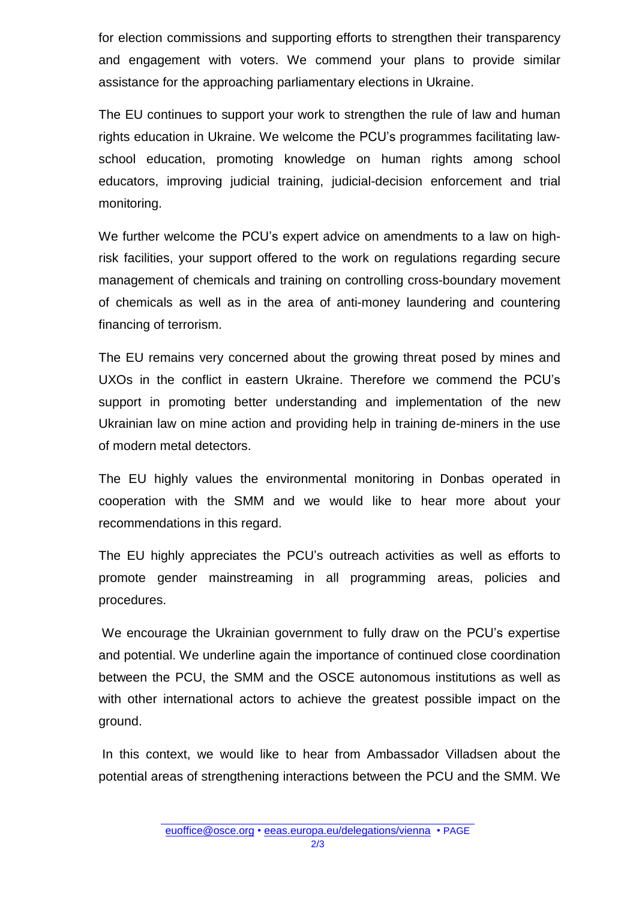for election commissions and supporting efforts to strengthen their transparency and engagement with voters. We commend your plans to provide similar assistance for the approaching parliamentary elections in Ukraine.

The EU continues to support your work to strengthen the rule of law and human rights education in Ukraine. We welcome the PCU's programmes facilitating lawschool education, promoting knowledge on human rights among school educators, improving judicial training, judicial-decision enforcement and trial monitoring.

We further welcome the PCU's expert advice on amendments to a law on highrisk facilities, your support offered to the work on regulations regarding secure management of chemicals and training on controlling cross-boundary movement of chemicals as well as in the area of anti-money laundering and countering financing of terrorism.

The EU remains very concerned about the growing threat posed by mines and UXOs in the conflict in eastern Ukraine. Therefore we commend the PCU's support in promoting better understanding and implementation of the new Ukrainian law on mine action and providing help in training de-miners in the use of modern metal detectors.

The EU highly values the environmental monitoring in Donbas operated in cooperation with the SMM and we would like to hear more about your recommendations in this regard.

The EU highly appreciates the PCU's outreach activities as well as efforts to promote gender mainstreaming in all programming areas, policies and procedures.

We encourage the Ukrainian government to fully draw on the PCU's expertise and potential. We underline again the importance of continued close coordination between the PCU, the SMM and the OSCE autonomous institutions as well as with other international actors to achieve the greatest possible impact on the ground.

In this context, we would like to hear from Ambassador Villadsen about the potential areas of strengthening interactions between the PCU and the SMM. We